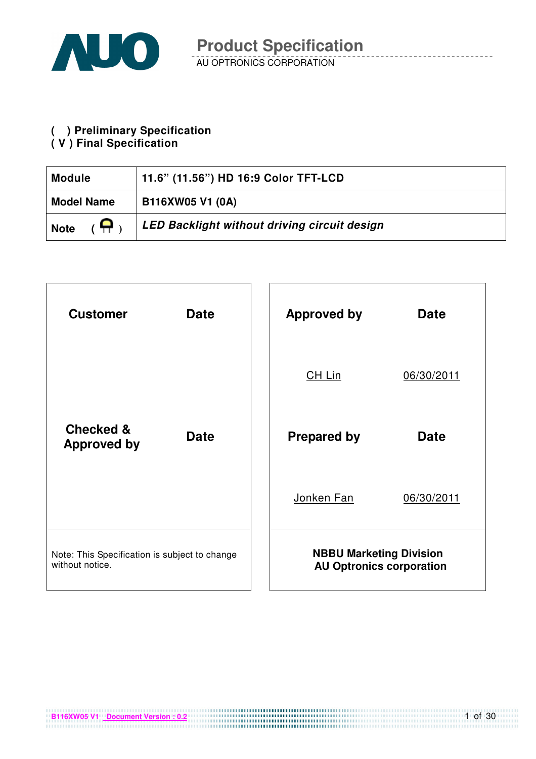

# **( ) Preliminary Specification**

#### **( V ) Final Specification**

| <b>Module</b>             | 11.6" (11.56") HD 16:9 Color TFT-LCD         |
|---------------------------|----------------------------------------------|
| <b>Model Name</b>         | B116XW05 V1 (0A)                             |
| $\epsilon$<br><b>Note</b> | LED Backlight without driving circuit design |

| <b>Customer</b>                                                  | <b>Date</b> | <b>Approved by</b>             | <b>Date</b>                     |
|------------------------------------------------------------------|-------------|--------------------------------|---------------------------------|
|                                                                  |             | CH Lin                         | 06/30/2011                      |
| <b>Checked &amp;</b><br><b>Approved by</b>                       | <b>Date</b> | <b>Prepared by</b>             | <b>Date</b>                     |
|                                                                  |             | Jonken Fan                     | 06/30/2011                      |
| Note: This Specification is subject to change<br>without notice. |             | <b>NBBU Marketing Division</b> | <b>AU Optronics corporation</b> |

1 of 30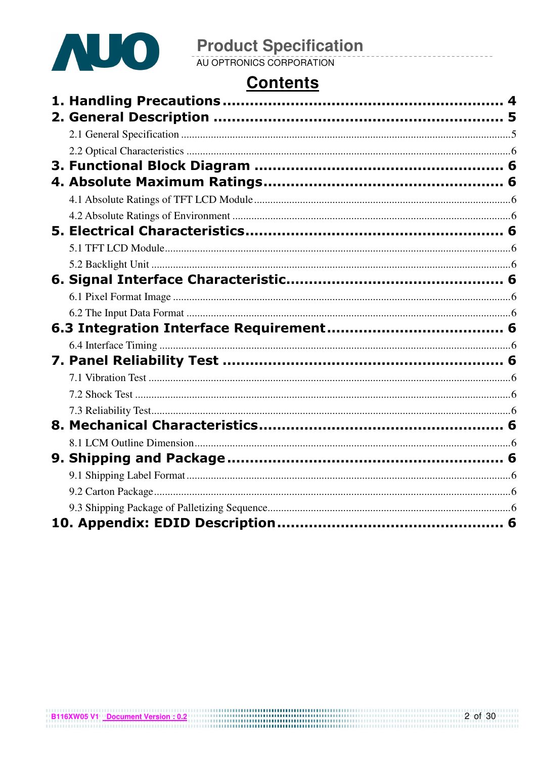

# **Contents**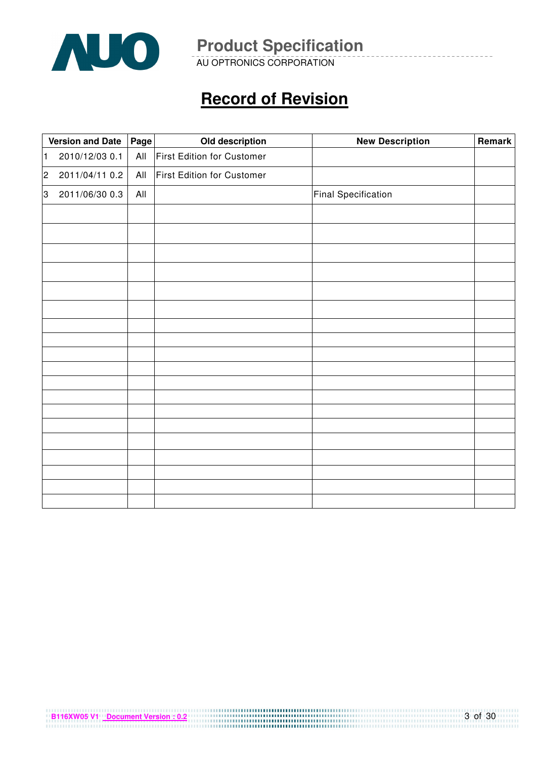

AU OPTRONICS CORPORATION

# **Record of Revision**

|                | <b>Version and Date</b> | Page | Old description            | <b>New Description</b>     | Remark |
|----------------|-------------------------|------|----------------------------|----------------------------|--------|
| $\vert$ 1      | 2010/12/03 0.1          | All  | First Edition for Customer |                            |        |
| $\overline{2}$ | 2011/04/11 0.2          | All  | First Edition for Customer |                            |        |
| 3              | 2011/06/30 0.3          | All  |                            | <b>Final Specification</b> |        |
|                |                         |      |                            |                            |        |
|                |                         |      |                            |                            |        |
|                |                         |      |                            |                            |        |
|                |                         |      |                            |                            |        |
|                |                         |      |                            |                            |        |
|                |                         |      |                            |                            |        |
|                |                         |      |                            |                            |        |
|                |                         |      |                            |                            |        |
|                |                         |      |                            |                            |        |
|                |                         |      |                            |                            |        |
|                |                         |      |                            |                            |        |
|                |                         |      |                            |                            |        |
|                |                         |      |                            |                            |        |
|                |                         |      |                            |                            |        |
|                |                         |      |                            |                            |        |
|                |                         |      |                            |                            |        |
|                |                         |      |                            |                            |        |
|                |                         |      |                            |                            |        |
|                |                         |      |                            |                            |        |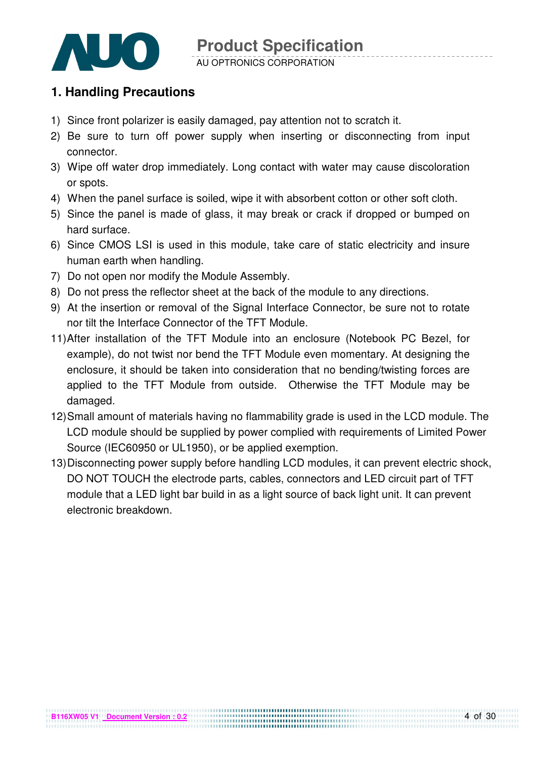

# **1. Handling Precautions**

- 1) Since front polarizer is easily damaged, pay attention not to scratch it.
- 2) Be sure to turn off power supply when inserting or disconnecting from input connector.
- 3) Wipe off water drop immediately. Long contact with water may cause discoloration or spots.
- 4) When the panel surface is soiled, wipe it with absorbent cotton or other soft cloth.
- 5) Since the panel is made of glass, it may break or crack if dropped or bumped on hard surface.
- 6) Since CMOS LSI is used in this module, take care of static electricity and insure human earth when handling.
- 7) Do not open nor modify the Module Assembly.
- 8) Do not press the reflector sheet at the back of the module to any directions.
- 9) At the insertion or removal of the Signal Interface Connector, be sure not to rotate nor tilt the Interface Connector of the TFT Module.
- 11) After installation of the TFT Module into an enclosure (Notebook PC Bezel, for example), do not twist nor bend the TFT Module even momentary. At designing the enclosure, it should be taken into consideration that no bending/twisting forces are applied to the TFT Module from outside. Otherwise the TFT Module may be damaged.
- 12) Small amount of materials having no flammability grade is used in the LCD module. The LCD module should be supplied by power complied with requirements of Limited Power Source (IEC60950 or UL1950), or be applied exemption.
- 13) Disconnecting power supply before handling LCD modules, it can prevent electric shock, DO NOT TOUCH the electrode parts, cables, connectors and LED circuit part of TFT module that a LED light bar build in as a light source of back light unit. It can prevent electronic breakdown.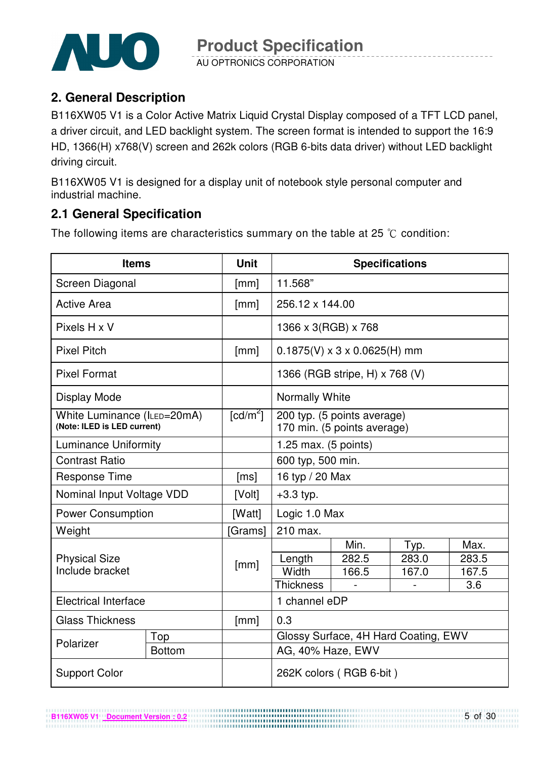

# **2. General Description**

B116XW05 V1 is a Color Active Matrix Liquid Crystal Display composed of a TFT LCD panel, a driver circuit, and LED backlight system. The screen format is intended to support the 16:9 HD, 1366(H) x768(V) screen and 262k colors (RGB 6-bits data driver) without LED backlight driving circuit.

B116XW05 V1 is designed for a display unit of notebook style personal computer and industrial machine.

# **2.1 General Specification**

The following items are characteristics summary on the table at 25  $\degree$ C condition:

| <b>Items</b>                                               |                                                               | <b>Unit</b>                              | <b>Specifications</b> |                                                            |       |       |  |
|------------------------------------------------------------|---------------------------------------------------------------|------------------------------------------|-----------------------|------------------------------------------------------------|-------|-------|--|
| Screen Diagonal                                            |                                                               | [mm]                                     | 11.568"               |                                                            |       |       |  |
| <b>Active Area</b>                                         | [mm]                                                          | 256.12 x 144.00                          |                       |                                                            |       |       |  |
| Pixels H x V                                               |                                                               |                                          | 1366 x 3(RGB) x 768   |                                                            |       |       |  |
| <b>Pixel Pitch</b>                                         | [mm]                                                          | $0.1875(V) \times 3 \times 0.0625(H)$ mm |                       |                                                            |       |       |  |
| <b>Pixel Format</b>                                        | 1366 (RGB stripe, H) x 768 (V)                                |                                          |                       |                                                            |       |       |  |
| Display Mode                                               |                                                               |                                          | <b>Normally White</b> |                                                            |       |       |  |
| White Luminance (ILED=20mA)<br>(Note: ILED is LED current) |                                                               | $\lceil cd/m^2 \rceil$                   |                       | 200 typ. (5 points average)<br>170 min. (5 points average) |       |       |  |
|                                                            | <b>Luminance Uniformity</b><br>1.25 max. $(5 \text{ points})$ |                                          |                       |                                                            |       |       |  |
| <b>Contrast Ratio</b>                                      |                                                               |                                          |                       | 600 typ, 500 min.                                          |       |       |  |
| <b>Response Time</b>                                       |                                                               | [ms]                                     | 16 typ / 20 Max       |                                                            |       |       |  |
| Nominal Input Voltage VDD                                  |                                                               | [Volt]                                   | $+3.3$ typ.           |                                                            |       |       |  |
| <b>Power Consumption</b>                                   |                                                               | [Watt]                                   | Logic 1.0 Max         |                                                            |       |       |  |
| Weight                                                     |                                                               | [Grams]                                  | 210 max.              |                                                            |       |       |  |
|                                                            |                                                               |                                          |                       | Min.                                                       | Typ.  | Max.  |  |
| <b>Physical Size</b>                                       |                                                               | [mm]                                     | Length                | 282.5                                                      | 283.0 | 283.5 |  |
| Include bracket                                            |                                                               |                                          | Width                 | 166.5                                                      | 167.0 | 167.5 |  |
|                                                            |                                                               |                                          | <b>Thickness</b>      |                                                            |       | 3.6   |  |
| <b>Electrical Interface</b>                                |                                                               |                                          | 1 channel eDP         |                                                            |       |       |  |
| <b>Glass Thickness</b>                                     |                                                               | [mm]                                     | 0.3                   |                                                            |       |       |  |
| Polarizer                                                  | Top                                                           |                                          |                       | Glossy Surface, 4H Hard Coating, EWV                       |       |       |  |
|                                                            | <b>Bottom</b>                                                 |                                          | AG, 40% Haze, EWV     |                                                            |       |       |  |
| <b>Support Color</b>                                       |                                                               |                                          |                       | 262K colors (RGB 6-bit)                                    |       |       |  |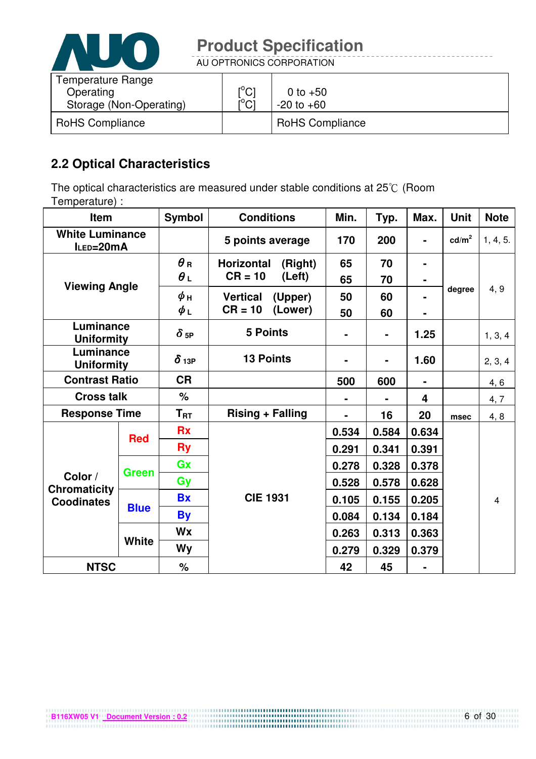

AU OPTRONICS CORPORATION

| Temperature Range<br>Operating<br>Storage (Non-Operating) | $\mathsf{I}^\circ\mathsf{C} \mathsf{I}$<br>$\mathsf{I}^\circ\mathsf{C} \mathsf{I}$ | 0 to $+50$<br>$-20$ to $+60$ |
|-----------------------------------------------------------|------------------------------------------------------------------------------------|------------------------------|
| <b>RoHS Compliance</b>                                    |                                                                                    | <b>RoHS Compliance</b>       |

# **2.2 Optical Characteristics**

The optical characteristics are measured under stable conditions at 25°C (Room Temperature) :

| <b>Item</b>                               |              | <b>Symbol</b>          | <b>Conditions</b>            | Min.  | Typ.           | Max.           | <b>Unit</b>     | <b>Note</b>             |
|-------------------------------------------|--------------|------------------------|------------------------------|-------|----------------|----------------|-----------------|-------------------------|
| <b>White Luminance</b><br>$I_{LED=}$ 20mA |              |                        | 5 points average             | 170   | 200            | $\blacksquare$ | $\text{cd/m}^2$ | 1, 4, 5.                |
| <b>Viewing Angle</b>                      |              | $\bm{\theta}$ R        | <b>Horizontal</b><br>(Right) | 65    | 70             | $\blacksquare$ |                 |                         |
|                                           |              | $\theta_L$             | $CR = 10$<br>(Left)          | 65    | 70             | $\blacksquare$ |                 |                         |
|                                           |              | ψн                     | <b>Vertical</b><br>(Upper)   | 50    | 60             |                | degree          | 4, 9                    |
|                                           |              | $\phi_L$               | $CR = 10$<br>(Lower)         | 50    | 60             | ۰              |                 |                         |
| Luminance<br><b>Uniformity</b>            |              | $\delta$ <sub>5P</sub> | <b>5 Points</b>              |       | $\blacksquare$ | 1.25           |                 | 1, 3, 4                 |
| Luminance<br><b>Uniformity</b>            |              | $\delta$ 13P           | <b>13 Points</b>             |       |                | 1.60           |                 | 2, 3, 4                 |
| <b>Contrast Ratio</b>                     |              | <b>CR</b>              |                              | 500   | 600            |                |                 | 4, 6                    |
| <b>Cross talk</b>                         |              | %                      |                              |       |                | 4              |                 | 4, 7                    |
| <b>Response Time</b>                      |              | $T_{\sf RT}$           | <b>Rising + Falling</b>      |       | 16             | 20             | msec            | 4, 8                    |
|                                           | <b>Red</b>   | <b>Rx</b>              |                              | 0.534 | 0.584          | 0.634          |                 |                         |
|                                           |              | <b>Ry</b>              |                              | 0.291 | 0.341          | 0.391          |                 |                         |
|                                           |              | Gx                     |                              | 0.278 | 0.328          | 0.378          |                 |                         |
| Color /                                   | Green        | Gy                     |                              | 0.528 | 0.578          | 0.628          |                 |                         |
| <b>Chromaticity</b><br><b>Coodinates</b>  |              | <b>Bx</b>              | <b>CIE 1931</b>              | 0.105 | 0.155          | 0.205          |                 | $\overline{\mathbf{4}}$ |
|                                           | <b>Blue</b>  | <b>By</b>              |                              | 0.084 | 0.134          | 0.184          |                 |                         |
|                                           |              | <b>Wx</b>              |                              | 0.263 | 0.313          | 0.363          |                 |                         |
|                                           | <b>White</b> | Wy                     |                              | 0.279 | 0.329          | 0.379          |                 |                         |
| <b>NTSC</b>                               |              | $\%$                   |                              | 42    | 45             |                |                 |                         |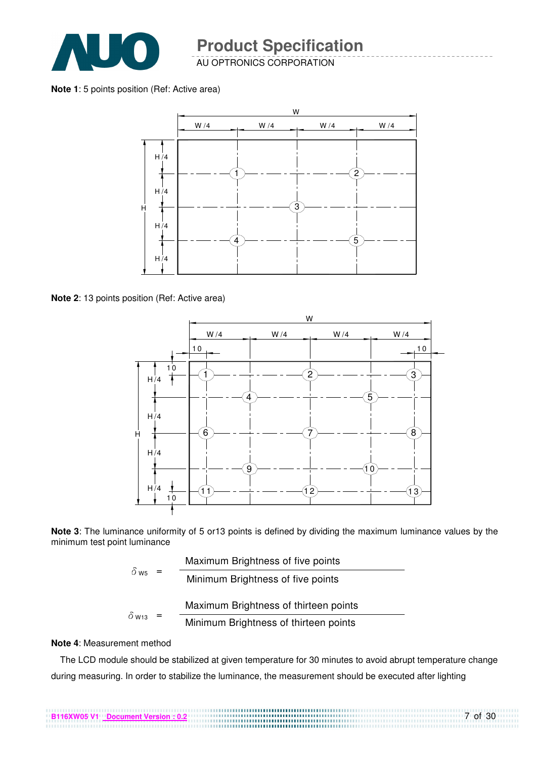

**Note 1**: 5 points position (Ref: Active area)



**Note 2**: 13 points position (Ref: Active area)



**Note 3**: The luminance uniformity of 5 or13 points is defined by dividing the maximum luminance values by the minimum test point luminance

| $\delta$ w <sub>5</sub> | Maximum Brightness of five points     |
|-------------------------|---------------------------------------|
|                         | Minimum Brightness of five points     |
|                         | Maximum Brightness of thirteen points |
| $\delta$ W13            | Minimum Brightness of thirteen points |

#### **Note 4**: Measurement method

The LCD module should be stabilized at given temperature for 30 minutes to avoid abrupt temperature change during measuring. In order to stabilize the luminance, the measurement should be executed after lighting

7 of 30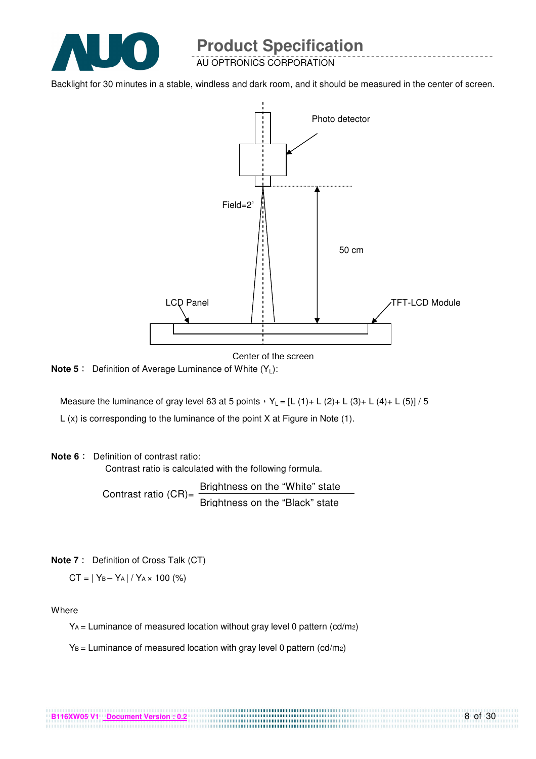

AU OPTRONICS CORPORATION

Backlight for 30 minutes in a stable, windless and dark room, and it should be measured in the center of screen.



Center of the screen

**Note 5** : Definition of Average Luminance of White (Y<sub>L</sub>):

Measure the luminance of gray level 63 at 5 points  $Y_L = [L (1) + L (2) + L (3) + L (4) + L (5)] / 5$ L (x) is corresponding to the luminance of the point X at Figure in Note (1).

#### **Note 6** : Definition of contrast ratio:

Contrast ratio is calculated with the following formula.

Contrast ratio  $(CR)$ = Brightness on the "White" state Brightness on the "Black" state

**Note 7** : Definition of Cross Talk (CT)

 $CT = |Y_B - Y_A| / Y_A \times 100$  (%)

Where

 $Y_A$  = Luminance of measured location without gray level 0 pattern (cd/m<sub>2</sub>)

................................

 $Y_B =$  Luminance of measured location with gray level 0 pattern (cd/m2)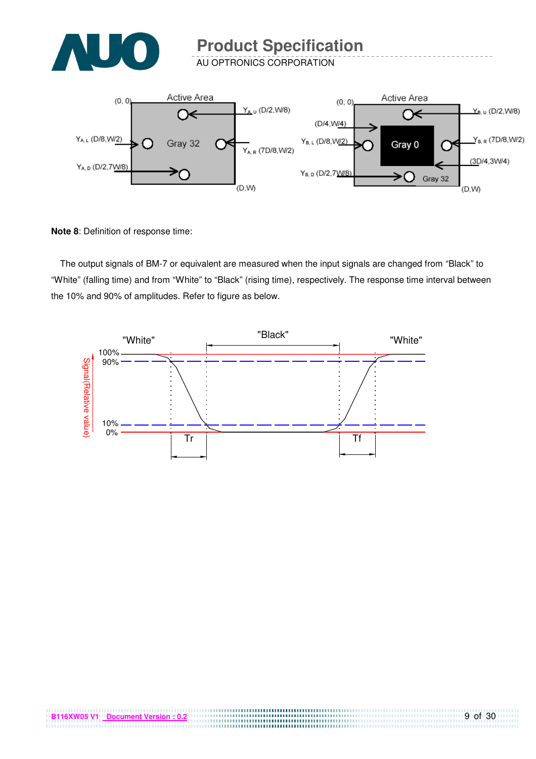

AU OPTRONICS CORPORATION



**Note 8**: Definition of response time:

The output signals of BM-7 or equivalent are measured when the input signals are changed from "Black" to "White" (falling time) and from "White" to "Black" (rising time), respectively. The response time interval between the 10% and 90% of amplitudes. Refer to figure as below.



,,,,,,,,,,,,,,,,,,,,,,,,,,,,,,,,,,,,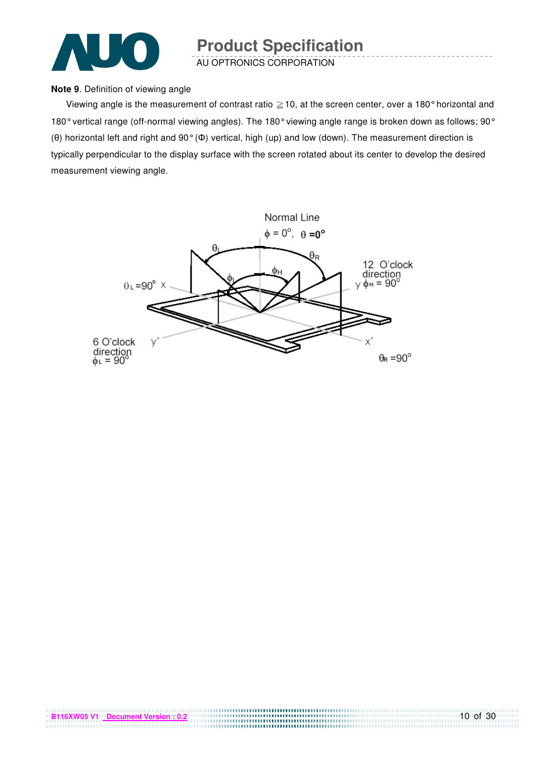

#### **Note 9**. Definition of viewing angle

Viewing angle is the measurement of contrast ratio  $\geq$  10, at the screen center, over a 180° horizontal and 180° vertical range (off-normal viewing angles). The 180° viewing angle range is broken down as follows; 90° (θ) horizontal left and right and 90° (Φ) vertical, high (up) and low (down). The measurement direction is typically perpendicular to the display surface with the screen rotated about its center to develop the desired measurement viewing angle.

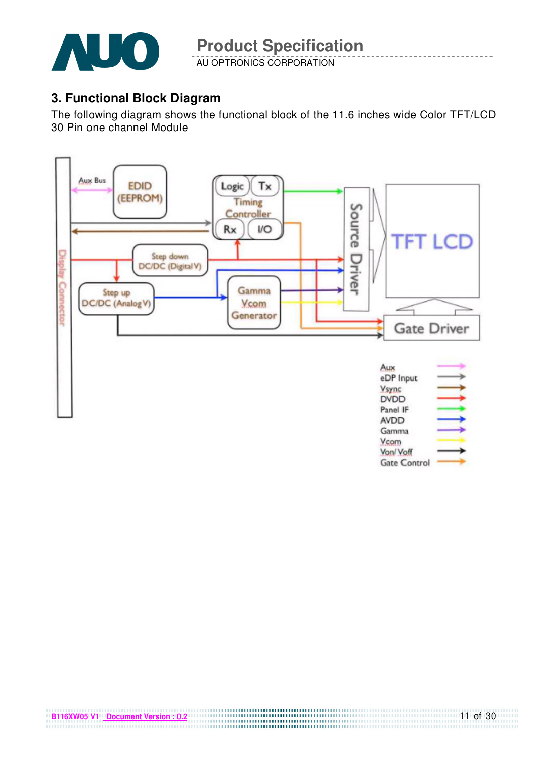

# **3. Functional Block Diagram**

The following diagram shows the functional block of the 11.6 inches wide Color TFT/LCD 30 Pin one channel Module

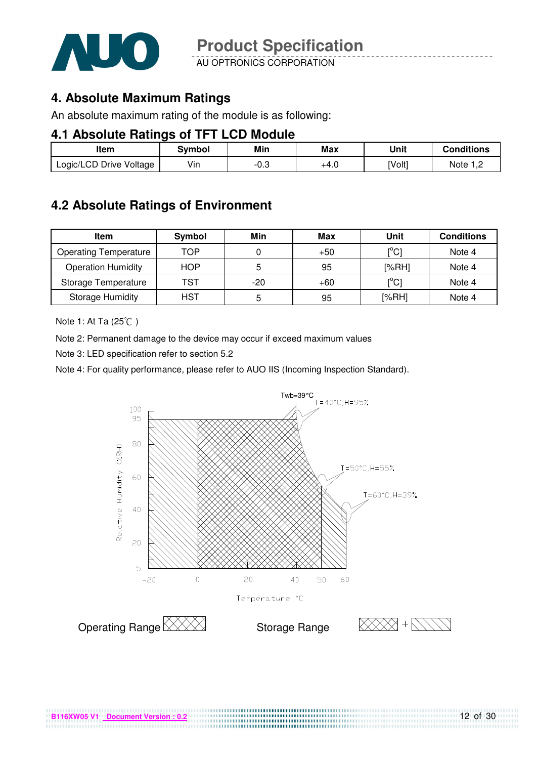

AU OPTRONICS CORPORATION

## **4. Absolute Maximum Ratings**

An absolute maximum rating of the module is as following:

#### **4.1 Absolute Ratings of TFT LCD Module**

| Item                    | Svmbol | Min  | Max  | Unit   | <b>Conditions</b> |
|-------------------------|--------|------|------|--------|-------------------|
| Logic/LCD Drive Voltage | Vin    | -0.3 | +4.U | [Volt] | Note              |

# **4.2 Absolute Ratings of Environment**

| Item                         | Symbol     | Min   | Max   | Unit                                    | <b>Conditions</b> |
|------------------------------|------------|-------|-------|-----------------------------------------|-------------------|
| <b>Operating Temperature</b> | TOP        |       | $+50$ | $\mathsf{I}^\circ\mathsf{C} \mathsf{I}$ | Note 4            |
| <b>Operation Humidity</b>    | <b>HOP</b> | 5     | 95    | [%RH]                                   | Note 4            |
| Storage Temperature          | TST        | $-20$ | +60   | $\mathsf{I}^\circ\mathsf{C} \mathsf{I}$ | Note 4            |
| <b>Storage Humidity</b>      | <b>HST</b> | 5     | 95    | [%RH]                                   | Note 4            |

Note 1: At Ta (25°C)

Note 2: Permanent damage to the device may occur if exceed maximum values

Note 3: LED specification refer to section 5.2

Note 4: For quality performance, please refer to AUO IIS (Incoming Inspection Standard).



.................................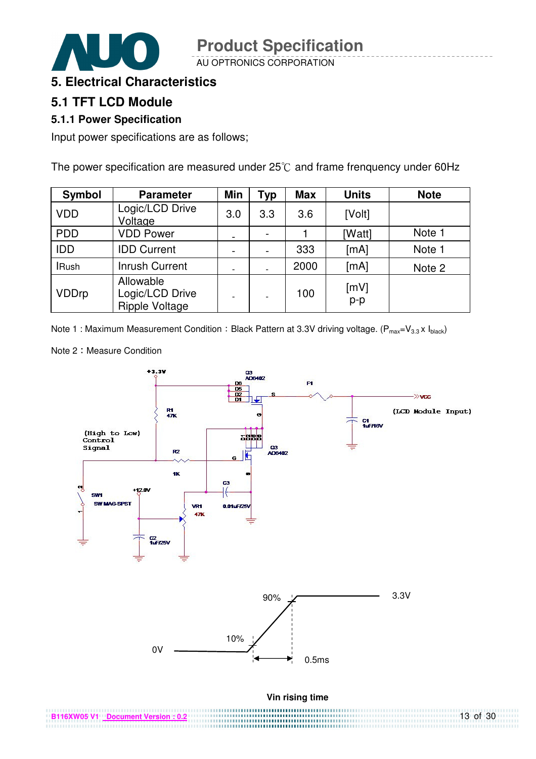



#### **5. Electrical Characteristics**

### **5.1 TFT LCD Module**

#### **5.1.1 Power Specification**

Input power specifications are as follows;

The power specification are measured under  $25^{\circ}$ C and frame frenquency under 60Hz

| <b>Symbol</b> | <b>Parameter</b>                                      | <b>Min</b>               | Typ                          | <b>Max</b> | <b>Units</b>  | <b>Note</b> |
|---------------|-------------------------------------------------------|--------------------------|------------------------------|------------|---------------|-------------|
| <b>VDD</b>    | Logic/LCD Drive<br>Voltage                            | 3.0                      | 3.3                          | 3.6        | [Volt]        |             |
| <b>PDD</b>    | <b>VDD Power</b>                                      | $\overline{\phantom{a}}$ | $\qquad \qquad$              |            | [Watt]        | Note 1      |
| <b>IDD</b>    | <b>IDD Current</b>                                    | $\overline{\phantom{a}}$ | $\qquad \qquad \blacksquare$ | 333        | [mA]          | Note 1      |
| <b>IRush</b>  | <b>Inrush Current</b>                                 | -                        | $\overline{\phantom{a}}$     | 2000       | [mA]          | Note 2      |
| <b>VDDrp</b>  | Allowable<br>Logic/LCD Drive<br><b>Ripple Voltage</b> | $\blacksquare$           |                              | 100        | [mV]<br>$p-p$ |             |

Note 1 : Maximum Measurement Condition : Black Pattern at 3.3V driving voltage. ( $P_{max}=V_{3.3} \times I_{black}$ )

Note 2: Measure Condition



................................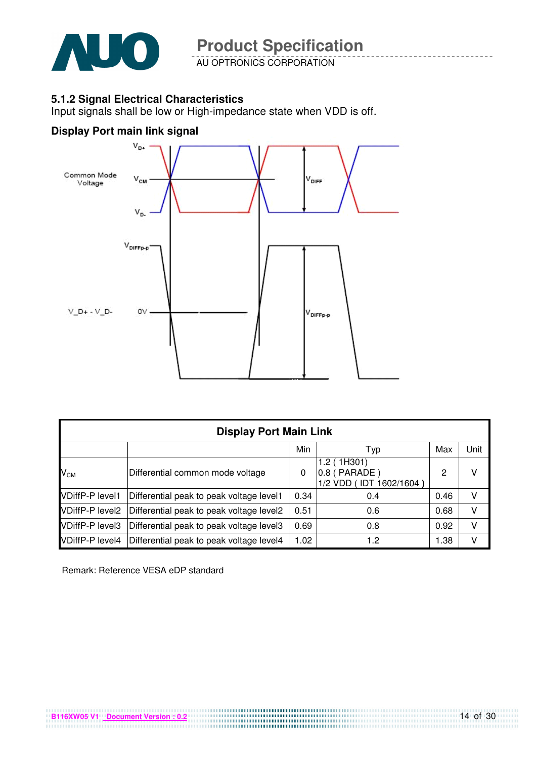

AU OPTRONICS CORPORATION

#### **5.1.2 Signal Electrical Characteristics**

Input signals shall be low or High-impedance state when VDD is off.

#### **Display Port main link signal**



|                        | <b>Display Port Main Link</b>            |      |                                                          |      |      |  |  |  |  |
|------------------------|------------------------------------------|------|----------------------------------------------------------|------|------|--|--|--|--|
|                        |                                          | Min  | Typ                                                      | Max  | Unit |  |  |  |  |
| $V_{CM}$               | Differential common mode voltage         | 0    | 1.2 (1H301)<br>$0.8$ (PARADE)<br>1/2 VDD (IDT 1602/1604) | 2    | v    |  |  |  |  |
| <b>VDiffP-P level1</b> | Differential peak to peak voltage level1 | 0.34 | 0.4                                                      | 0.46 | v    |  |  |  |  |
| <b>VDiffP-P level2</b> | Differential peak to peak voltage level2 | 0.51 | 0.6                                                      | 0.68 | v    |  |  |  |  |
| <b>VDiffP-P level3</b> | Differential peak to peak voltage level3 | 0.69 | 0.8                                                      | 0.92 | v    |  |  |  |  |
| <b>VDiffP-P level4</b> | Differential peak to peak voltage level4 | 1.02 | 1.2                                                      | 1.38 | v    |  |  |  |  |

Remark: Reference VESA eDP standard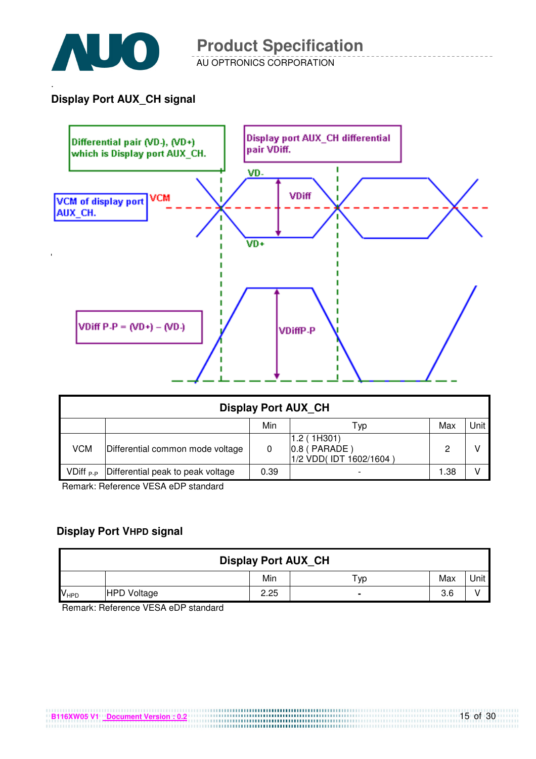

.

AU OPTRONICS CORPORATION

#### **Display Port AUX\_CH signal**



|                             | <b>Display Port AUX CH</b>        |      |                                                        |      |  |  |  |  |
|-----------------------------|-----------------------------------|------|--------------------------------------------------------|------|--|--|--|--|
| Unit  <br>Min<br>Max<br>Тур |                                   |      |                                                        |      |  |  |  |  |
| <b>VCM</b>                  | Differential common mode voltage  | 0    | 1.2(1H301)<br>$0.8$ (PARADE)<br>1/2 VDD(IDT 1602/1604) | 2    |  |  |  |  |
| $VDiff_{P-P}$               | Differential peak to peak voltage | 0.39 |                                                        | 1.38 |  |  |  |  |

Remark: Reference VESA eDP standard

#### **Display Port VHPD signal**

| <b>Display Port AUX CH</b> |                    |      |     |     |      |  |
|----------------------------|--------------------|------|-----|-----|------|--|
|                            |                    | Min  | ⊤ур | Max | Unit |  |
| V <sub>HPD</sub>           | <b>HPD Voltage</b> | 2.25 | -   | 3.6 |      |  |

Remark: Reference VESA eDP standard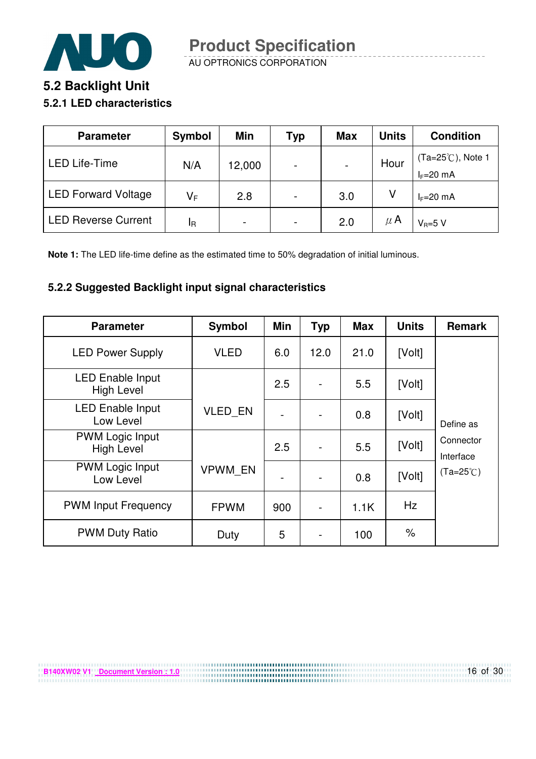

AU OPTRONICS CORPORATION

# **5.2 Backlight Unit 5.2.1 LED characteristics**

| <b>Parameter</b>           | Symbol | Min                      | Typ                      | <b>Max</b>               | <b>Units</b> | <b>Condition</b>                           |
|----------------------------|--------|--------------------------|--------------------------|--------------------------|--------------|--------------------------------------------|
| <b>LED Life-Time</b>       | N/A    | 12,000                   | $\overline{\phantom{0}}$ | $\overline{\phantom{a}}$ | Hour         | $(Ta=25^{\circ}C)$ , Note 1<br>$I_F=20$ mA |
| <b>LED Forward Voltage</b> | V⊧     | 2.8                      | $\overline{\phantom{0}}$ | 3.0                      |              | $I_F=20$ mA                                |
| <b>LED Reverse Current</b> | ΙR     | $\overline{\phantom{0}}$ | $\overline{\phantom{0}}$ | 2.0                      | $\mu$ A      | $V_B=5 V$                                  |

**Note 1:** The LED life-time define as the estimated time to 50% degradation of initial luminous.

#### **5.2.2 Suggested Backlight input signal characteristics**

**B140XW02 V1** Document Version : 1.0

| <b>Parameter</b>                             | Symbol         | Min | <b>Typ</b>     | <b>Max</b> | <b>Units</b> | <b>Remark</b>          |
|----------------------------------------------|----------------|-----|----------------|------------|--------------|------------------------|
| <b>LED Power Supply</b>                      | <b>VLED</b>    | 6.0 | 12.0           | 21.0       | [Volt]       |                        |
| <b>LED Enable Input</b><br><b>High Level</b> |                | 2.5 |                | 5.5        | [Volt]       |                        |
| <b>LED Enable Input</b><br>Low Level         | <b>VLED EN</b> |     |                | 0.8        | [Volt]       | Define as              |
| <b>PWM Logic Input</b><br><b>High Level</b>  |                | 2.5 |                | 5.5        | [Volt]       | Connector<br>Interface |
| <b>PWM Logic Input</b><br>Low Level          | <b>VPWM EN</b> |     |                | 0.8        | [Volt]       | $(Ta=25^{\circ}C)$     |
| <b>PWM Input Frequency</b>                   | <b>FPWM</b>    | 900 | $\overline{a}$ | 1.1K       | Hz           |                        |
| <b>PWM Duty Ratio</b>                        | Duty           | 5   |                | 100        | $\%$         |                        |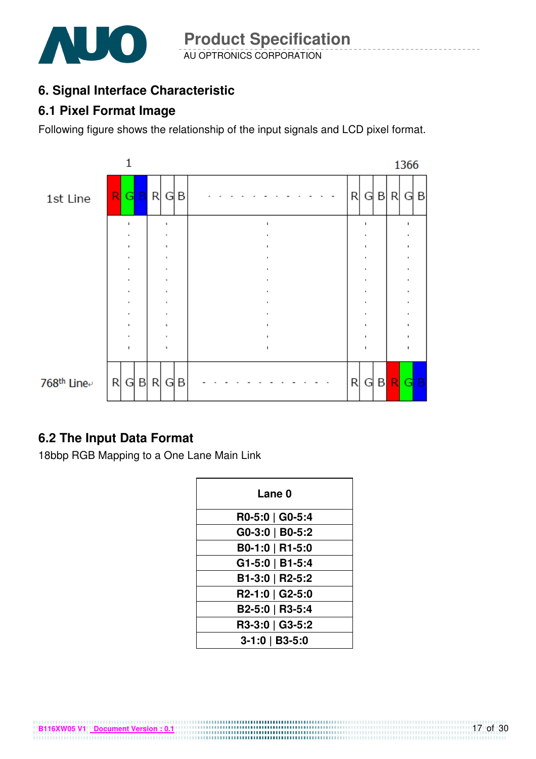

# **6. Signal Interface Characteristic**

## **6.1 Pixel Format Image**

Following figure shows the relationship of the input signals and LCD pixel format.



# **6.2 The Input Data Format**

18bbp RGB Mapping to a One Lane Main Link

**B116XW05 V1 Document Version : 0.1**

| Lane 0           |  |  |  |  |  |
|------------------|--|--|--|--|--|
| R0-5:0   G0-5:4  |  |  |  |  |  |
| G0-3:0   B0-5:2  |  |  |  |  |  |
| B0-1:0   R1-5:0  |  |  |  |  |  |
| G1-5:0   B1-5:4  |  |  |  |  |  |
| B1-3:0   R2-5:2  |  |  |  |  |  |
| R2-1:0   G2-5:0  |  |  |  |  |  |
| B2-5:0   R3-5:4  |  |  |  |  |  |
| R3-3:0   G3-5:2  |  |  |  |  |  |
| $3-1:0$   B3-5:0 |  |  |  |  |  |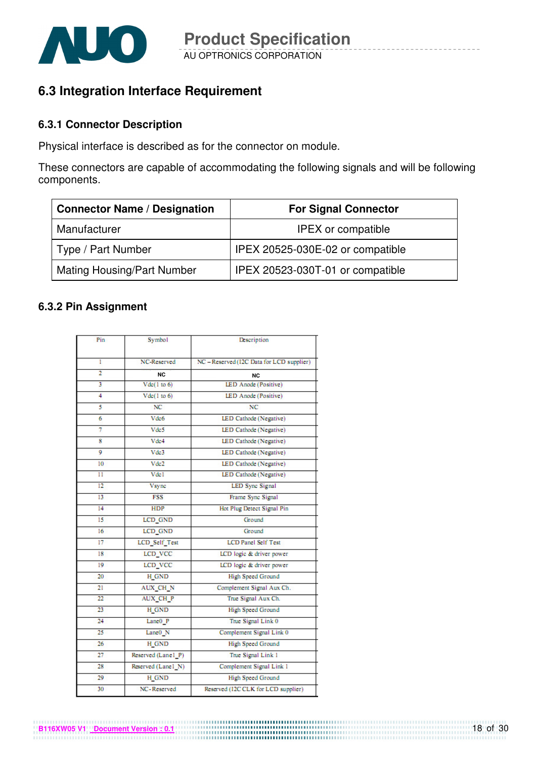

# **6.3 Integration Interface Requirement**

#### **6.3.1 Connector Description**

Physical interface is described as for the connector on module.

These connectors are capable of accommodating the following signals and will be following components.

| <b>Connector Name / Designation</b> | <b>For Signal Connector</b>      |
|-------------------------------------|----------------------------------|
| Manufacturer                        | <b>IPEX</b> or compatible        |
| Type / Part Number                  | IPEX 20525-030E-02 or compatible |
| <b>Mating Housing/Part Number</b>   | IPEX 20523-030T-01 or compatible |

#### **6.3.2 Pin Assignment**

| Pin            | Symbol              | Description                               |  |  |
|----------------|---------------------|-------------------------------------------|--|--|
|                |                     |                                           |  |  |
| ī              | NC-Reserved         | NC - Reserved (12C Data for LCD supplier) |  |  |
| $\overline{2}$ | <b>NC</b>           | <b>NC</b>                                 |  |  |
| 3              | Vdc(1 to 6)         | LED Anode (Positive)                      |  |  |
| 4              | Vdc(1 to 6)         | LED Anode (Positive)                      |  |  |
| 5              | NC                  | NC                                        |  |  |
| 6              | Vdc6                | LED Cathode (Negative)                    |  |  |
| 7              | Vde5                | LED Cathode (Negative)                    |  |  |
| 8              | Vdc4                | LED Cathode (Negative)                    |  |  |
| 9              | Vde3                | LED Cathode (Negative)                    |  |  |
| 10             | Vde2                | LED Cathode (Negative)                    |  |  |
| 11             | Vde1                | LED Cathode (Negative)                    |  |  |
| 12             | <b>Vsync</b>        | <b>LED Sync Signal</b>                    |  |  |
| 13             | <b>FSS</b>          | Frame Sync Signal                         |  |  |
| 14             | HDP                 | Hot Plug Detect Signal Pin                |  |  |
| 15             | LCD_GND             | Ground                                    |  |  |
| 16             | LCD GND             | Ground                                    |  |  |
| 17             | LCD Self Test       | <b>LCD</b> Panel Self Test                |  |  |
| 18             | LCD VCC             | LCD logic & driver power                  |  |  |
| 19             | LCD VCC             | LCD logic & driver power                  |  |  |
| 20             | <b>H_GND</b>        | High Speed Ground                         |  |  |
| 21             | AUX CH N            | Complement Signal Aux Ch.                 |  |  |
| 22             | <b>AUX CH P</b>     | True Signal Aux Ch.                       |  |  |
| 23             | H GND               | <b>High Speed Ground</b>                  |  |  |
| 24             | Lanc <sub>0</sub> P | True Signal Link 0                        |  |  |
| 25             | Lane0_N             | Complement Signal Link 0                  |  |  |
| 26             | <b>H_GND</b>        | <b>High Speed Ground</b>                  |  |  |
| 27             | Reserved (Lane1 P)  | True Signal Link 1                        |  |  |
| 28             | Reserved (Lane1 N)  | Complement Signal Link 1                  |  |  |
| 29             | H GND               | <b>High Speed Ground</b>                  |  |  |
| 30             | NC-Reserved         | Reserved (I2C CLK for LCD supplier)       |  |  |

**B116XW05 V1** <u>Document Version : 0.1</u> **COVID-000 DOM**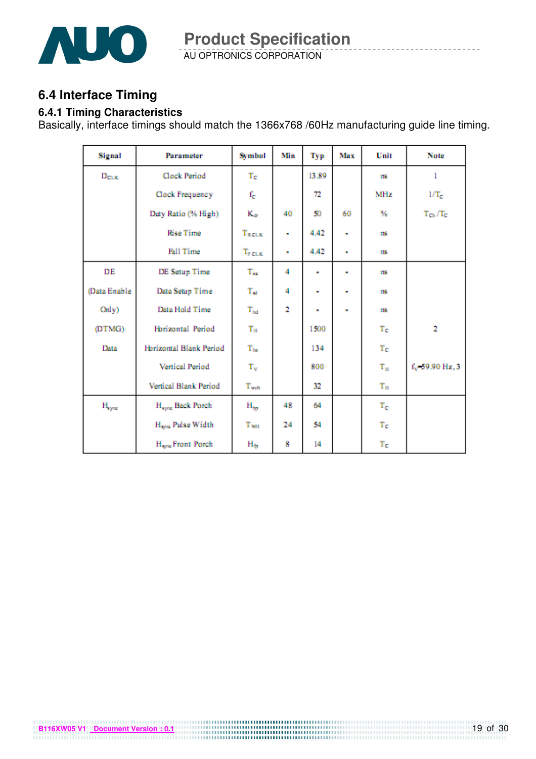

AU OPTRONICS CORPORATION **Product Specification** 

## **6.4 Interface Timing**

#### **6.4.1 Timing Characteristics**

Basically, interface timings should match the 1366x768 /60Hz manufacturing guide line timing.

| Signal            | Parameter                     | Symbol       | Min | Typ            | Max | Unit        | Note                         |
|-------------------|-------------------------------|--------------|-----|----------------|-----|-------------|------------------------------|
| $D_{CLK}$         | Clock Period                  | Tc           |     | 13.89          |     | m           | 1                            |
|                   | Clock Frequency               | $f_c$        |     | 72             |     | MHz         | $1/T_c$                      |
|                   | Duty Ratio (% High)           | $K_{dr}$     | 40  | 50             | 60  | ₩           | $T_{\text{Ch}}/T_{\text{C}}$ |
|                   | <b>Rise Time</b>              | TRCLK        | ٠   | 4.42           | ٠   | ms          |                              |
|                   | Fall Time                     | $T_{FCLK}$   | ٠   | 4.42           | ×   | m           |                              |
| DE                | DE Setup Time                 | $T_{xx}$     | 4   | ۰              | ۰   | m           |                              |
| (Data Enable      | Data Setup Time               | $T_{sd}$     | 4   | ٠              | ۰   | ms          |                              |
| Only)             | Data Hold Time                | $\rm T_{hd}$ | 2   | $\blacksquare$ | ۰   | m           |                              |
| (DTMG)            | Horizontal Period             | $T_{\rm H}$  |     | 1500           |     | Tc          | $\overline{2}$               |
| Data              | Horizontal Blank Period       | $\rm T_{ha}$ |     | 134            |     | Te          |                              |
|                   | Vertical Period               | $T_{\rm v}$  |     | 800            |     | $\rm T_H$   | f <sub>v</sub> 59.90 Hz, 3   |
|                   | Vertical Blank Period         | $T_{wvb}$    |     | 32             |     | $T_{\rm H}$ |                              |
| $H_{\text{sync}}$ | H <sub>sync</sub> Back Porch  | $H_{bp}$     | 48  | 64             |     | $T_{\rm c}$ |                              |
|                   | H <sub>one</sub> Pulse Width  | Twat         | 24  | 54             |     | $T_{\rm C}$ |                              |
|                   | H <sub>ryne</sub> Front Porch | $H_{\oplus}$ | 8   | 14             |     | $\rm T_C$   |                              |

**B116XW05 V1** <u>Document Version : 0.1</u> **COVID-000 COVID-0000 COVID-0000 COVID-0000 COVID-0000 COVID-0000 COVID-0000 COVID-0000 COVID-0000 COVID-0000 COVID-00000 COVID-0000 COVID-0000 COVID-0000**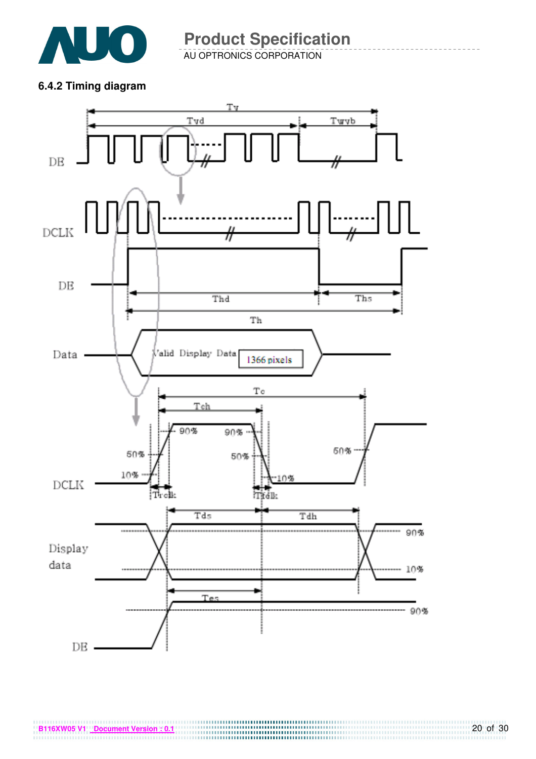

AU OPTRONICS CORPORATION **Product Specification** 

**6.4.2 Timing diagram** 



**B116XW05 V1** <u>Document Version : 0.1</u> **COVERTS B116XW05 V1 Document Version : 0.1 Document Version : 0.1**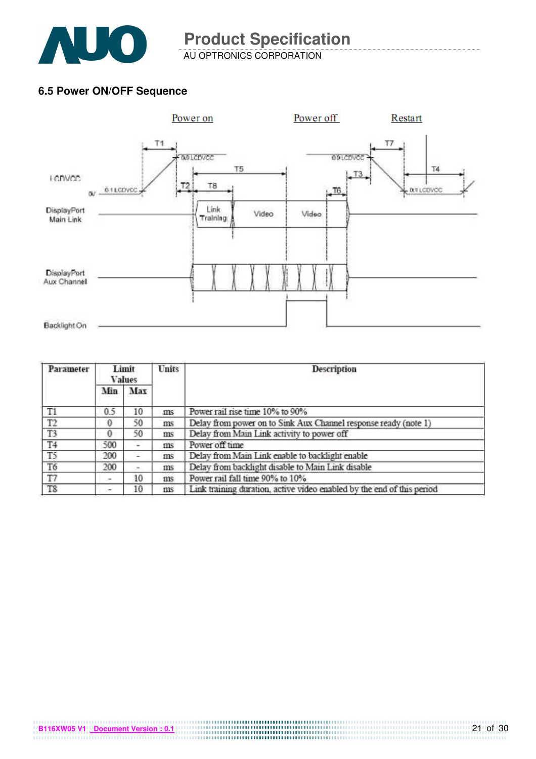

AU OPTRONICS CORPORATION

#### **6.5 Power ON/OFF Sequence**



| Parameter      |          | Limit<br><b>Values</b> | <b>Units</b> | <b>Description</b>                                                     |  |  |
|----------------|----------|------------------------|--------------|------------------------------------------------------------------------|--|--|
|                | Min      | Max                    |              |                                                                        |  |  |
| T1             | 0.5      | 10                     | ms           | Power rail rise time 10% to 90%                                        |  |  |
| T2             | 0        | 50                     | ms           | Delay from power on to Sink Aux Channel response ready (note 1)        |  |  |
| T <sub>3</sub> | $\Omega$ | 50                     | ms           | Delay from Main Link activity to power off                             |  |  |
| T <sub>4</sub> | 500      | $\overline{a}$         | ms           | Power off time                                                         |  |  |
| T <sub>5</sub> | 200      | ಇ                      | ms           | Delay from Main Link enable to backlight enable                        |  |  |
| T <sub>6</sub> | 200      | ÷                      | ms           | Delay from backlight disable to Main Link disable                      |  |  |
| T7             | $\sim$   | 10                     | ms           | Power rail fall time 90% to 10%                                        |  |  |
| T8             | ٠        | 10                     | ms           | Link training duration, active video enabled by the end of this period |  |  |

**B116XW05 V1 Document Version : 0.1**

21 of 30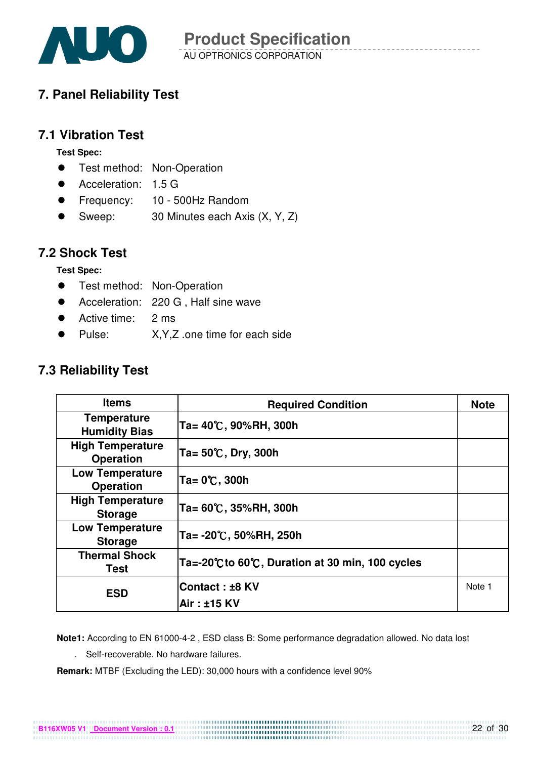

# **7. Panel Reliability Test**

## **7.1 Vibration Test**

**Test Spec:** 

- **•** Test method: Non-Operation
- Acceleration: 1.5 G
- Frequency: 10 500Hz Random
- Sweep: 30 Minutes each Axis (X, Y, Z)

### **7.2 Shock Test**

**Test Spec:** 

- **•** Test method: Non-Operation
- Acceleration: 220 G, Half sine wave
- Active time: 2 ms
- Pulse: X,Y,Z .one time for each side

## **7.3 Reliability Test**

| <b>Items</b>                                | <b>Required Condition</b>                      | <b>Note</b> |
|---------------------------------------------|------------------------------------------------|-------------|
| <b>Temperature</b><br><b>Humidity Bias</b>  | Ta= 40℃, 90%RH, 300h                           |             |
| <b>High Temperature</b><br><b>Operation</b> | Ta= $50^{\circ}$ C, Dry, 300h                  |             |
| <b>Low Temperature</b><br><b>Operation</b>  | Ta= 0℃, 300h                                   |             |
| <b>High Temperature</b><br><b>Storage</b>   | Ta= 60℃, 35%RH, 300h                           |             |
| <b>Low Temperature</b><br><b>Storage</b>    | Ta= -20℃, 50%RH, 250h                          |             |
| <b>Thermal Shock</b><br>Test                | Ta=-20℃ to 60℃, Duration at 30 min, 100 cycles |             |
| <b>ESD</b>                                  | Contact: ±8 KV                                 | Note 1      |
|                                             | Air : ±15 KV                                   |             |

**Note1:** According to EN 61000-4-2 , ESD class B: Some performance degradation allowed. No data lost

. Self-recoverable. No hardware failures.

**Remark:** MTBF (Excluding the LED): 30,000 hours with a confidence level 90%

**B116XW05 V1 Document Version : 0.1**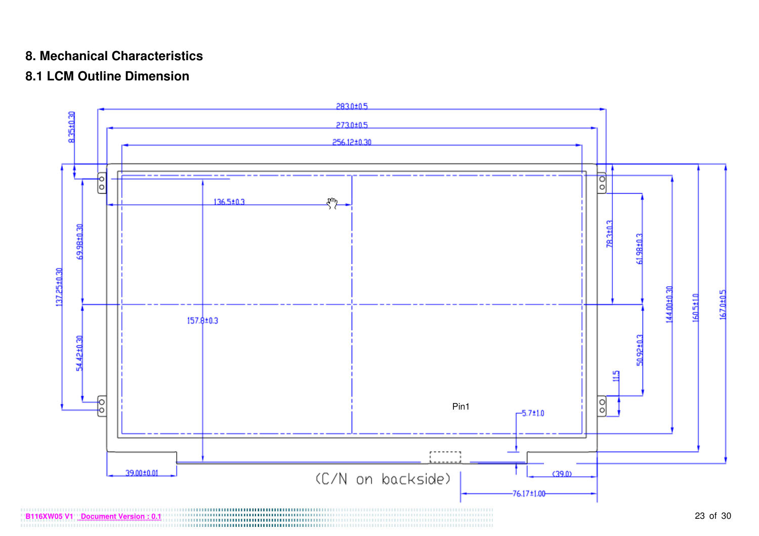### **8. Mechanical Characteristics**

# **8.1 LCM Outline Dimension**

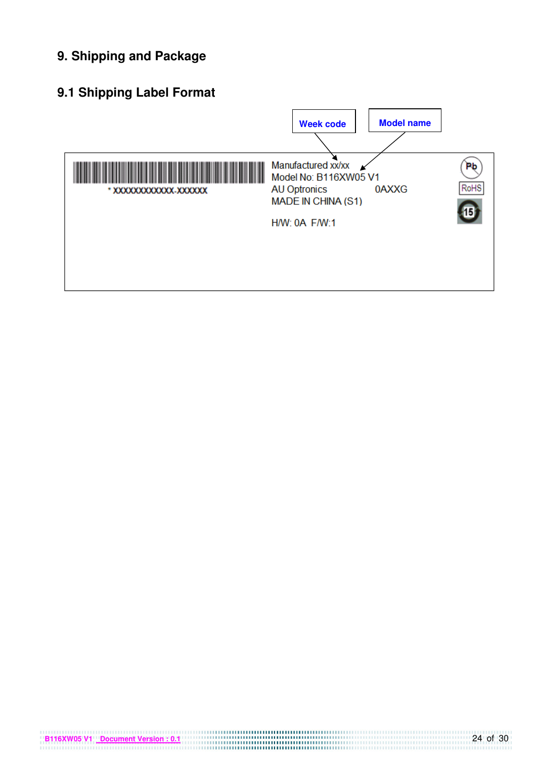# **9. Shipping and Package**

# **9.1 Shipping Label Format**

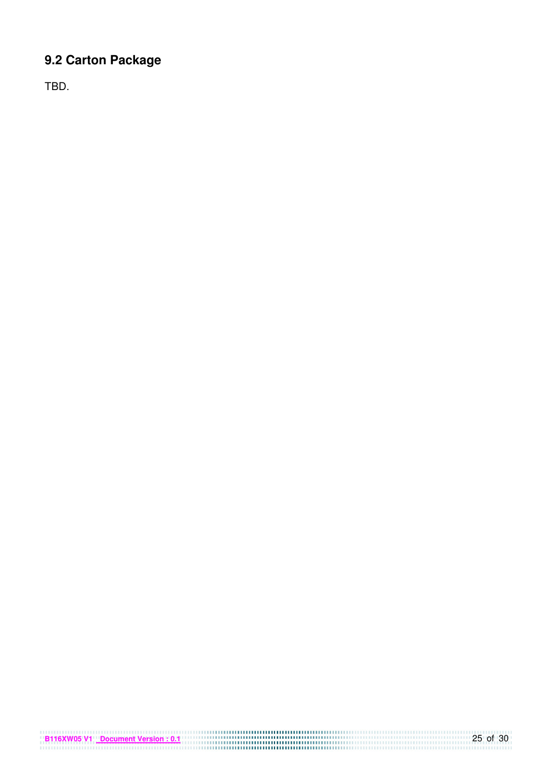# **9.2 Carton Package**

**B116XW05 V1 Document Version : 0.1** 25 of 30

TBD.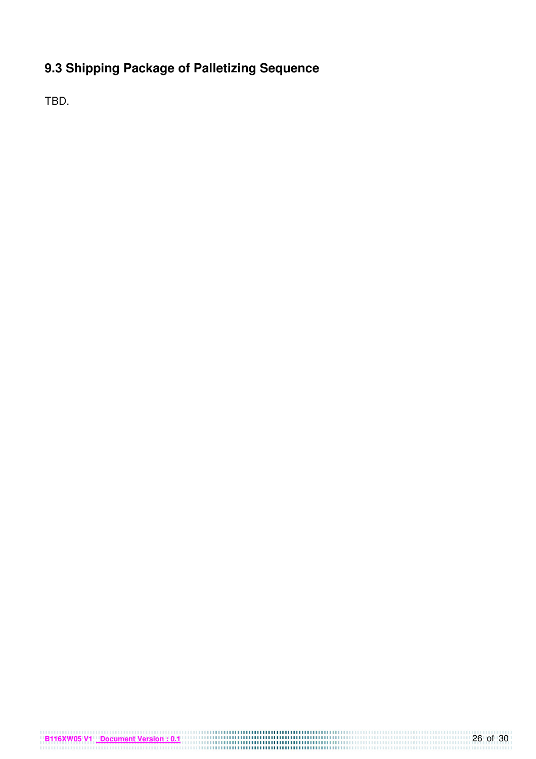# **9.3 Shipping Package of Palletizing Sequence**

TBD.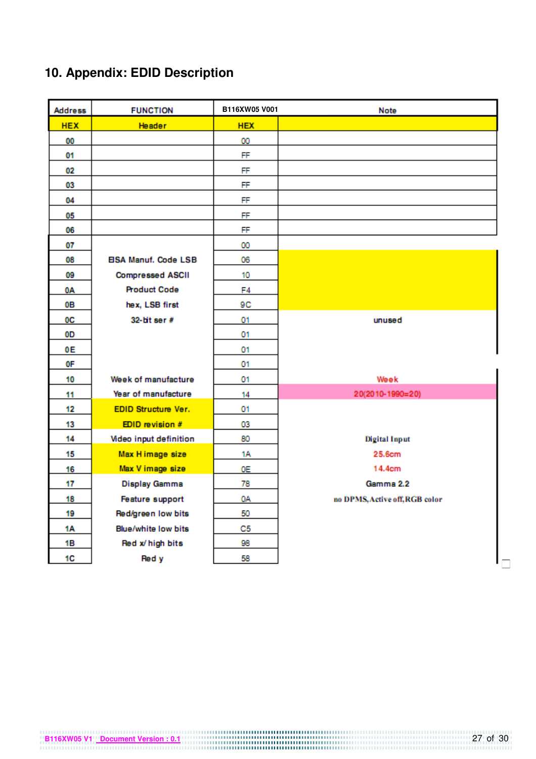# **10. Appendix: EDID Description**

| <b>Address</b> | <b>FUNCTION</b>             | B116XW05 V001 | Note                           |
|----------------|-----------------------------|---------------|--------------------------------|
| <b>HEX</b>     | <b>Header</b>               | <b>HEX</b>    |                                |
| 00             |                             | 00            |                                |
| 01             |                             | FF            |                                |
| 02             |                             | FF            |                                |
| 03             |                             | FF            |                                |
| 04             |                             | FF            |                                |
| 05             |                             | FF            |                                |
| 06             |                             | FF            |                                |
| 07             |                             | 00            |                                |
| 08             | <b>EISA Manuf. Code LSB</b> | 06            |                                |
| 09             | <b>Compressed ASCII</b>     | 10            |                                |
| 0Α             | <b>Product Code</b>         | F4            |                                |
| 0В             | hex, LSB first              | 9C            |                                |
| 0C             | $32$ -lit ser #             | 01            | unused                         |
| 0D             |                             | 01            |                                |
| 0E             |                             | 01            |                                |
| 0F             |                             | 01            |                                |
| 10             | Week of manufacture         | 01            | Week                           |
| 11             | Year of manufacture         | 14            | 20(2010-1990=20)               |
| 12             | <b>EDID Structure Ver.</b>  | 01            |                                |
| 13             | EDID revision #             | 03            |                                |
| 14             | Video input definition      | 80            | <b>Digital Input</b>           |
| 15             | Max H image size            | 1Α            | 25.6cm                         |
| 16             | Max V image size            | 0E            | 14.4cm                         |
| 17             | <b>Display Gamma</b>        | 78            | Gamma 2.2                      |
| 18             | Feature support             | 0A            | no DPMS, Active off, RGB color |
| 19             | Red/green low bits          | 50            |                                |
| 1A             | Blue/white low bits         | C5            |                                |
| 1B             | Red x/ high bits            | 98            |                                |
| 1C             | Red y                       | 58            |                                |

**B116XW05 V1** <u>Document Version : 0.1</u> 27 of 30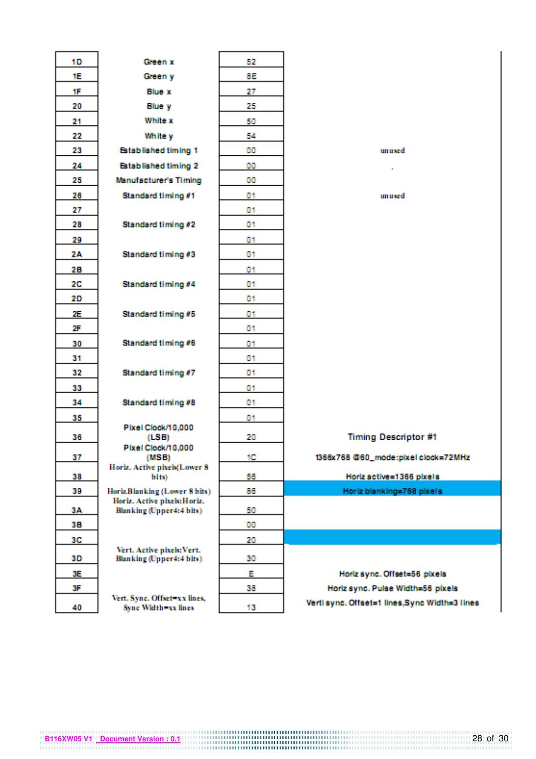| 10        | Green x                                                         | 52  |                                               |
|-----------|-----------------------------------------------------------------|-----|-----------------------------------------------|
| 1E        | Green y                                                         | 8E. |                                               |
| <b>TF</b> | <b>Blue x</b>                                                   | 27  |                                               |
| 20        | <b>Blue y</b>                                                   | 25  |                                               |
| 21        | <b>White x</b>                                                  | 50  |                                               |
| 22        | White y                                                         | 54  |                                               |
| 23        | <b>Established timing 1</b>                                     | 00  | unused.                                       |
| 24        | <b>Established timing 2</b>                                     | 00  |                                               |
| 25        | Manufacturer's Timing                                           | 00  |                                               |
| 28        | Standard timing #1                                              | 01  | unused                                        |
| 27        |                                                                 | 01  |                                               |
| 28        | Standard timing #2                                              | 01. |                                               |
| 29        |                                                                 | 01  |                                               |
| 2A        | Standard timing #3                                              | 01  |                                               |
| 28        |                                                                 | 01  |                                               |
| 20        | Standard timing #4                                              | 01  |                                               |
| 20        |                                                                 | 01  |                                               |
| 2E        | Standard timing #5                                              | 01  |                                               |
| 25        |                                                                 | 01  |                                               |
| 30        | Standard timing #6                                              | 01  |                                               |
| 31        |                                                                 | 01  |                                               |
| 32        | Standard timing #7                                              | 01  |                                               |
| 33        |                                                                 | 01  |                                               |
| 34        | Standard timing #8                                              | 01  |                                               |
| 35        |                                                                 | 01  |                                               |
| 36        | Pixel Clock/10.000<br>(LSB)                                     | 20  | <b>Timing Descriptor #1</b>                   |
|           | Pixel Clock/10,000                                              |     |                                               |
| 37        | (INSB)<br>Horiz. Active pixels(Lower 8)                         | 10  | 1366x768 @60_mode:pixel clock=72MHz           |
| 38        | bits)                                                           | 56  | Horiz active=1366 pixels                      |
| 39        | Horiz.Blanking (Lower 8 bits)                                   | 86  | Horiz blanking=768 pixels                     |
| 3A        | Horiz. Active pixels: Horiz.<br><b>Blanking</b> (Upper4:4 bits) | 50  |                                               |
| 3B.       |                                                                 | OO. |                                               |
| 30        |                                                                 | 20  |                                               |
|           | Vert. Active pixels: Vert.                                      |     |                                               |
| 30        | Blanking (Upper4:4 bits)                                        | 30  |                                               |
| 3E.       |                                                                 | E   | Horiz sync. Offset=56 pixels                  |
| 3F        | Vert. Syne. Offset=x x lines,                                   | 38  | Horiz sync. Pulse Width=58 pixels             |
| 40        | <b>Sync Width=xx lines</b>                                      | 13  | Verti sync. Offset=1 lines,Sync Width=3 lines |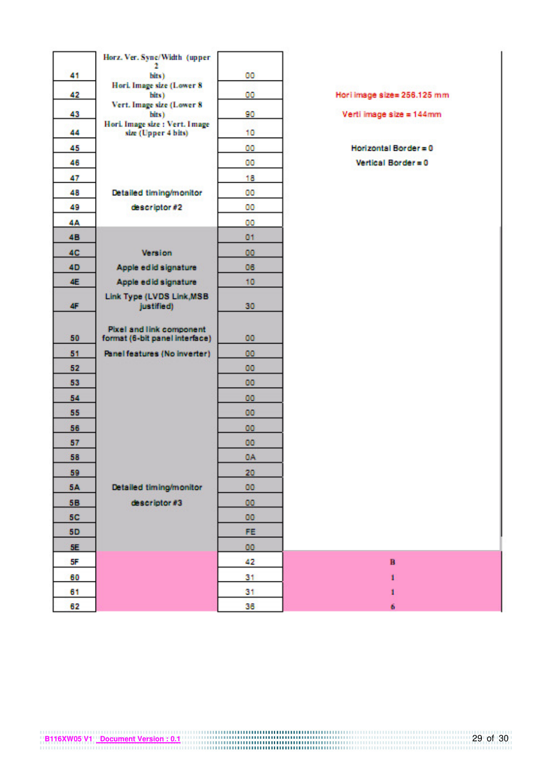|           | Horz, Ver, Sync/Width (upper-                                     |                 |                             |
|-----------|-------------------------------------------------------------------|-----------------|-----------------------------|
| 41        | ÷.<br>bits)                                                       | 00              |                             |
|           | Hori. Image size (Lower 8)                                        |                 |                             |
| 42.       | bits).<br>Vert. Image size (Lower 8)                              | 00              | Hori image size= 256.125 mm |
| 43        | bits)                                                             | 90              | Verti image size = 144mm    |
| 44        | Hori, Image size : Vert. Image<br>size (Upper 4 bits)             | 10              |                             |
| 45        |                                                                   | 00              | Horizontal Border = 0       |
| 46        |                                                                   | 00              | Vertical Border = 0         |
| 47        |                                                                   | 18              |                             |
| 48        | Detailed timing/monitor                                           | 00              |                             |
| 49        | descriptor #2                                                     | 00              |                             |
| 44        |                                                                   | 00              |                             |
| 48        |                                                                   | 01              |                             |
| <b>4C</b> | <b>Version</b>                                                    | 00              |                             |
| 40        | Apple edid signature                                              | 06.             |                             |
| 4E        | Apple edid signature                                              | 10              |                             |
| <b>AF</b> | Link Type (LVDS Link, MSB<br>justified)                           | 30              |                             |
| 50        | <b>Pixel and link component</b><br>format (6-bit panel interface) | 00              |                             |
| 51        | Panel features (No inverter)                                      | 00              |                             |
| 52        |                                                                   | <b>OO</b>       |                             |
| 53        |                                                                   | 00              |                             |
| 54        |                                                                   | 00              |                             |
| 55        |                                                                   | 00              |                             |
| 56        |                                                                   | 00              |                             |
| 57        |                                                                   | 00              |                             |
| 58        |                                                                   | 0A              |                             |
| 59        |                                                                   | 20              |                             |
| <b>5A</b> | Detailed timing/monitor                                           | 00              |                             |
| 58        | descriptor #3                                                     | 00              |                             |
| <b>5C</b> |                                                                   | <b>OO</b>       |                             |
| 50        |                                                                   | FE <sup>1</sup> |                             |
| <b>SE</b> |                                                                   | 00              |                             |
| SF        |                                                                   | 42.             | $\mathbf{B}$                |
| 60        |                                                                   | 31              | 1                           |
| 61        |                                                                   | 31              | 1                           |
| 62.       |                                                                   | <b>SIR</b>      |                             |